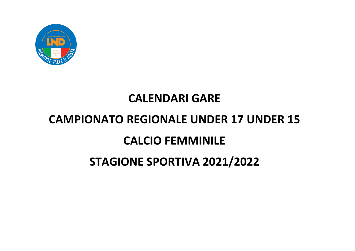

## **CALENDARI GARE**

## **CAMPIONATO REGIONALE UNDER 17 UNDER 15**

## **CALCIO FEMMINILE**

## **STAGIONE SPORTIVA 2021/2022**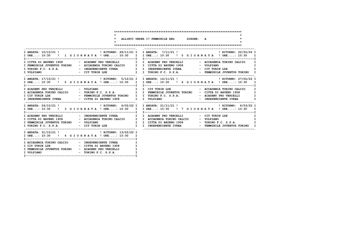| $\star$                                                                                   |                                                                                                                                                                                                                                                       |
|-------------------------------------------------------------------------------------------|-------------------------------------------------------------------------------------------------------------------------------------------------------------------------------------------------------------------------------------------------------|
| $\star$ $\sim$                                                                            | * ALLIEVI UNDER 17 FEMMINILE REG GIRONE: A                                                                                                                                                                                                            |
|                                                                                           |                                                                                                                                                                                                                                                       |
| I FEMMINILE JUVENTUS TORINO - ACCADEMIA TORINO CALCIO I I CITTA DI BAVENO 1908 - VOLPIANO | I ORE: 10:30 ! 1 G I O R N A T A ! ORE: 10:30 I I ORE: 10:30 ! 5 G I O R N A T A ! ORE: 10:30 I<br>I CITTA DI BAVENO 1908 - ACADEMY PRO VERCELLI I I ACADEMY PRO VERCELLI - ACCADEMIA TORINO CALCIO I                                                 |
|                                                                                           |                                                                                                                                                                                                                                                       |
|                                                                                           | I ORE: 10:30 ! 2 G I OR N A T A ! ORE: 10:30 I I ORE: 10:30 ! 6 G I OR N A T A ! ORE: 10:30 I                                                                                                                                                         |
|                                                                                           | T CONFIDENTE UREA TRANSPORTED TO A CADEMY PRO VERCELLI TO THE PRODUCT CONFIDENTE IN A CADEMY PRO VERCELLI TRANSPORTED TRANSPORTED TO A CADEMY PRO VERCELLI TRANSPORTED TO A CADEMY PRO VERCELLI TRANSPORTED TRANSPORTED TO A C                        |
|                                                                                           | I ORE: 10:30 ! 3 G I OR N A T A ! ORE: 10:30 I I ORE: 10:30 ! 7 G I OR N A T A ! ORE: 10:30 I                                                                                                                                                         |
|                                                                                           | $\blacksquare$<br>T CITTA DI BAVENO 1908 - ACCADEMIA TORINO CALCIO I I ACCADEMIA TORINO CALCIO - VOLPIANO I I<br>I FEMMINILE JUVENTUS TORINO - VOLPIANO - VOLPIANO I I CITTA DI BAVENO 1908 - TORINO F.C. S.P.A. I<br>I TORINO F.C. S.P.A. - CITTURIN |
| I ORE: 10:30 ! 4 G I OR N A T A ! ORE: 10:30 I                                            |                                                                                                                                                                                                                                                       |
| I ACCADEMIA TORINO CALCIO - INDEPENDIENTE IVREA<br>- TORINO F.C. S.P.A.<br>I VOLPIANO     | I<br>$\mathbf I$<br>I<br>$\mathbf{I}$                                                                                                                                                                                                                 |

**I--------------------------------------------------------------I**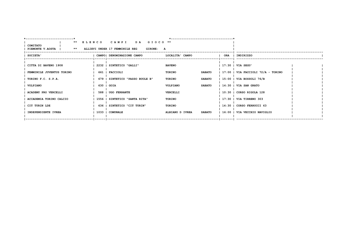| ----------------------------              |                                                    | *---------------------------------- |     |                                        |  |
|-------------------------------------------|----------------------------------------------------|-------------------------------------|-----|----------------------------------------|--|
|                                           | ** ELENCO CAMPI<br>DA GIOCO <sup>**</sup>          |                                     |     |                                        |  |
| <b>COMITATO</b><br>**<br>PIEMONTE V.AOSTA | <b>GIRONE: A</b><br>ALLIEVI UNDER 17 FEMMINILE REG |                                     |     |                                        |  |
| SOCIETA'                                  | CAMPO  DENOMINAZIONE CAMPO                         | LOCALITA' CAMPO                     | ORA | INDIRIZZO                              |  |
|                                           |                                                    |                                     |     |                                        |  |
| CITTA DI BAVENO 1908                      | 2232   SINTETICO "GALLI"                           | <b>BAVENO</b>                       |     | 17:30   VIA SEGU'                      |  |
| FEMMINILE JUVENTUS TORINO                 | 661   FACCIOLI                                     | <b>SABATO</b><br><b>TORINO</b>      |     | $17:00$   VIA FACCIOLI $72/A$ - TORINO |  |
| TORINO F.C. S.P.A.                        | 679   SINTETICO "PASSO BUOLE B"                    | <b>SABATO</b><br><b>TORINO</b>      |     | 15:00   VIA BOSSOLI 76/B               |  |
| VOLPIANO                                  | 630   GOIA                                         | VOLPIANO<br><b>SABATO</b>           |     | $14:30$   VIA SAN GRATO                |  |
| <b>ACADEMY PRO VERCELLI</b>               | 588   UGO FERRANTE                                 | VERCELLI                            |     | $10:30$   CORSO RIGOLA 128             |  |
| ACCADEMIA TORINO CALCIO                   | 1556   SINTETICO "SANTA RITA"                      | <b>TORINO</b>                       |     | 17:30   VIA TIRRENO 303                |  |
| CIT TURIN LDE                             | 636   SINTETICO "CIT TURIN"                        | <b>TORINO</b>                       |     | $14:30$   CORSO FERRUCCI 63            |  |
| INDEPENDIENTE IVREA                       | 1033   COMUNALE                                    | ALBIANO D IVREA<br><b>SABATO</b>    |     | 16:00   VIA VECCHIO NAVIGLIO           |  |
|                                           |                                                    |                                     |     |                                        |  |
|                                           |                                                    |                                     |     |                                        |  |
|                                           |                                                    |                                     |     |                                        |  |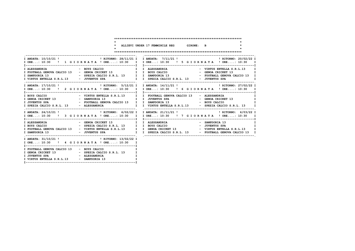| $\star$<br>$\star$ $\sim$                                                           | * ALLIEVI UNDER 17 FEMMINILE REG GIRONE: B<br>$\star$                                                                                                                                                                                               |
|-------------------------------------------------------------------------------------|-----------------------------------------------------------------------------------------------------------------------------------------------------------------------------------------------------------------------------------------------------|
|                                                                                     | I ORE: 10:30 ! 1 G I O R N A T A ! ORE: 10:30 I I ORE: 10:30 ! 5 G I O R N A T A ! ORE: 10:30 I                                                                                                                                                     |
| I VIRTUS ENTELLA S.R.L.13 - JUVENTUS SPA 1 I SPEZIA CALCIO S.R.L. 13 - JUVENTUS SPA | I FOOTBALL GENOVA CALCIO 13 - GENOA CRICKET 13 1 I BOYS CALCIO - GENOA CRICKET 13 I                                                                                                                                                                 |
|                                                                                     | I ORE: 10:30 ! 2 G I O R N A T A ! ORE: 10:30 I I ORE: 10:30 ! 6 G I O R N A T A ! ORE: 10:30 I                                                                                                                                                     |
|                                                                                     | $\mathbf{I}$<br>I SPEZIA CALCIO S.R.L. 13 - ALESSANDRIA 1 I VIRTUS ENTELLA S.R.L. 13 - SPEZIA CALCIO S.R.L. 13 I                                                                                                                                    |
|                                                                                     | I ORE: 10:30 ! 3 G I OR N A T A ! ORE: 10:30 I I ORE: 10:30 ! 7 G I O R N A T A ! ORE: 10:30 I                                                                                                                                                      |
|                                                                                     | $\blacksquare$<br>1 ALESSANDRIA - SPEZIA CALCIO S.R.L. 13 I I ALESSANDRIA - SPEZIA CALCIO - SPEZIA CALCIO S.R.L. 13 I I BOYS CALCIO<br>1 FOOTBALL GENOVA CALCIO 13 - VIRTUS ENTELLA S.R.L. 13 I I GENOA CRICKET 13 - VIRTUS ENTELLA S.R.L. 13 I I S |
| I ORE: 10:30 ! 4 G I OR N A T A ! ORE: 10:30 I                                      |                                                                                                                                                                                                                                                     |
| I FOOTBALL GENOVA CALCIO 13 - BOYS CALCIO                                           | I.<br>$\mathbf{I}$<br>I<br>$\mathbf{I}$                                                                                                                                                                                                             |

**I--------------------------------------------------------------I**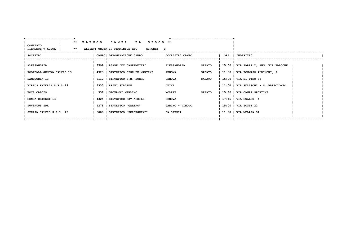| ** ELENCO CAMPI<br>DA GIOCO <sup>**</sup>                                                                                            |  |
|--------------------------------------------------------------------------------------------------------------------------------------|--|
|                                                                                                                                      |  |
| <b>COMITATO</b><br>PIEMONTE V.AOSTA   ** ALLIEVI UNDER 17 FEMMINILE REG<br><b>GIRONE: B</b>                                          |  |
| SOCIETA'<br><b>ORA</b><br>  CAMPO  DENOMINAZIONE CAMPO<br>LOCALITA' CAMPO<br>INDIRIZZO                                               |  |
|                                                                                                                                      |  |
| <b>ALESSANDRIA</b><br>15:00   VIA PARRI 2, ANG. VIA FALCONE<br><b>ALESSANDRIA</b><br>3599   AGAPE "EX CASERMETTE"<br><b>SABATO</b>   |  |
| FOOTBALL GENOVA CALCIO 13<br>  4323   SINTETICO CIGE DE MARTINI<br>11:30   VIA TOMMASO ALBINONI, 9<br><b>GENOVA</b><br><b>SABATO</b> |  |
| SAMPDORIA 13<br>6112   SINTETICO F.M. BOERO<br>15:00   VIA DI PINO 35<br><b>GENOVA</b><br><b>SABATO</b>                              |  |
| VIRTUS ENTELLA S.R.L.13<br>4330   LEIVI STADIUM<br>LEIVI<br>11:00   VIA SELASCHI - S. BARTOLOMEO                                     |  |
| 338   GIOVANNI MERLINO<br><b>MOLARE</b><br><b>SABATO</b><br>15:30   VIA CAMPI SPORTIVI<br>BOYS CALCIO                                |  |
| <b>GENOA CRICKET 13</b><br>4324   SINTETICO XXV APRILE<br>$17:45$   VIA GUALCO, $4$<br><b>GENOVA</b>                                 |  |
| 1278   SINTETICO "GARINO"<br>GARINO - VINOVO<br>15:00   VIA SOTTI 22<br><b>JUVENTUS SPA</b>                                          |  |
| SPEZIA CALCIO S.R.L. 13<br>  11:00   VIA MELARA 91<br>  6000   SINTETICO "FERDEGHINI"<br>LA SPEZIA                                   |  |
| --------                                                                                                                             |  |
|                                                                                                                                      |  |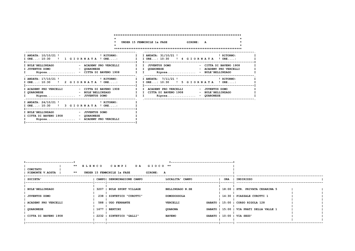| $\star$                                                                                                                   | UNDER 15 FEMMINILE 1a FASE 6IRONE: A                                                                                                                                              |
|---------------------------------------------------------------------------------------------------------------------------|-----------------------------------------------------------------------------------------------------------------------------------------------------------------------------------|
| I ANDATA: 10/10/21 ! PITORNO:<br>I ORE: 10:30 ! 1 G I OR N A T A ! ORE:<br>T------------                                  | I I ANDATA: 31/10/21 ! NITORNO:<br>I IORE: 10:30 ! 4 GIORNATA ! ORE:                                                                                                              |
| I BULE'BELLINZAGO<br>I JUVENTUS DOMO<br>- OUARONESE<br>$Riposa$ - CITTA DI BAVENO 1908<br>. _ _ _ _ _ _ _ _ _ _ _ _ _ _ _ | - ACADEMY PRO VERCELLI I I JUVENTUS DOMO<br>- CITTA DI BAVENO 1908<br>I I OUARONESE<br>- ACADEMY PRO VERCELLI<br>I I Riposa - BULE'BELLINZAGO<br>--------------, ,--------------- |
| I ANDATA: 17/10/21 ! PITORNO:<br>I ORE: 10:30 ! 2 G I OR N A T A ! ORE: I                                                 | $\mathbf{I}$<br>I ANDATA: 7/11/21 ! I RITORNO:<br>I ORE: 10:30 ! 5 G I O R N A T A ! ORE:                                                                                         |
| I ACADEMY PRO VERCELLI<br>- CITTA DI BAVENO 1908<br><b>I QUARONESE</b><br>I Riposa - JUVENTUS DOMO                        | I I ACADEMY PRO VERCELLI<br>- JUVENTUS DOMO<br>- BULE'BELLINZAGO<br>I I CITTA DI BAVENO 1908<br>- BULE'BELLINZAGO<br>I I Riposa - QUARONESE                                       |
| -----------------<br>I ORE: 10:30 ! 3 G I O R N A T A ! ORE:                                                              |                                                                                                                                                                                   |
| I BULE'BELLINZAGO A COUVENTUS DOMO<br>I CITTA DI BAVENO 1908 - OUARONESE<br>Riposa - ACADEMY PRO VERCELLI<br>$\mathbf{I}$ |                                                                                                                                                                                   |

| *--------------------------        |                                                           |                  |     |                                          |  |
|------------------------------------|-----------------------------------------------------------|------------------|-----|------------------------------------------|--|
| COMITATO<br>**<br>PIEMONTE V.AOSTA | ** ELENCO CAMPI DA GIOCO **<br>UNDER 15 FEMMINILE 1a FASE | <b>GIRONE: A</b> |     |                                          |  |
| <b>SOCIETA'</b>                    | CAMPO  DENOMINAZIONE CAMPO                                | LOCALITA' CAMPO  | ORA | INDIRIZZO                                |  |
| <b>BULE'BELLINZAGO</b>             | 3207   BULE SPORT VILLAGE                                 | BELLINZAGO N.SE  |     | 18:00   STR. PRIVATA CESARINA 5          |  |
| <b>JUVENTUS DOMO</b>               | 238   SINTETICO "CUROTTI"                                 | DOMODOSSOLA      |     | 14:30   PIAZZALE CUROTTI 1               |  |
| <b>ACADEMY PRO VERCELLI</b>        | 588   UGO FERRANTE                                        | <b>VERCELLI</b>  |     | SABATO   15:00   CORSO RIGOLA 128        |  |
| <b>QUARONESE</b>                   | 1677   BERTINI                                            | <b>QUARONA</b>   |     | SABATO   15:00   VIA PRATI DELLA VALLE 1 |  |
| CITTA DI BAVENO 1908               | 2232   SINTETICO "GALLI"                                  | <b>BAVENO</b>    |     | SABATO   10:00   VIA SEGU'               |  |
|                                    |                                                           |                  |     |                                          |  |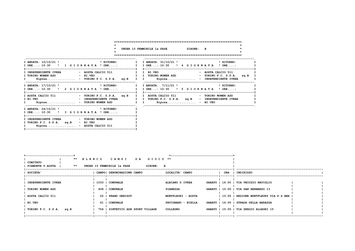|                                                                                                                               | $\star$ | UNDER 15 FEMMINILE 1a FASE 6IRONE: B                                                                                                                                                                                         |
|-------------------------------------------------------------------------------------------------------------------------------|---------|------------------------------------------------------------------------------------------------------------------------------------------------------------------------------------------------------------------------------|
|                                                                                                                               |         | I ANDATA: $10/10/21$ ! $\blacksquare$ PRITORNO: $\blacksquare$ I ANDATA: $31/10/21$ ! $\blacksquare$ PRITORNO: $\blacksquare$ PRITORNO:<br>I ORE: 10:30 ! 1 G I O R N A T A ! ORE: I I ORE: 10:30 ! 4 G I O R N A T A ! ORE: |
| I INDEPENDIENTE IVREA - AOSTA CALCIO 511 I I BI.VEO<br>I TORINO WOMEN ASD<br>- BI.VEO<br>$Riposa$ - TORINO F.C. S.P.A. $sq.B$ |         | - AOSTA CALCIO 511<br>I I TORINO WOMEN ASD - TORINO F.C. S.P.A. sq.B<br>I I Riposa - INDEPENDIENTE IVREA                                                                                                                     |
| T-----------------------                                                                                                      |         | I ANDATA: $17/10/21$ ! $\blacksquare$<br>PRITORNO:<br>I I ANDATA: $7/11/21$ ! $\blacksquare$<br>PRITORNO:<br>I ORE: 10:30 ! 2 G I O R N A T A ! ORE: I I ORE: 10:30 ! 5 G I O R N A T A ! ORE:                               |
| - INDEPENDIENTE IVREA<br>I BI.VEO<br>I Riposa - TORINO WOMEN ASD                                                              |         | I AOSTA CALCIO 511 - TORINO F.C. S.P.A. sq.B I I AOSTA CALCIO 511 - TORINO WOMEN ASD<br>I I TORINO F.C. S.P.A. sq.B - INDEPENDIENTE IVREA<br>I I Riposa BI.VEO                                                               |
| I ANDATA: 24/10/21 ! RITORNO:<br>I ORE: 10:30 ! 3 G I O R N A T A ! ORE:                                                      |         |                                                                                                                                                                                                                              |
| I INDEPENDIENTE IVREA $-$ TORINO WOMEN ASD<br>I TORINO F.C. S.P.A. sq.B<br>- BI.VEO<br>Riposa.<br>- AOSTA CALCIO 511          |         |                                                                                                                                                                                                                              |

| ------------------------------                          |      |                                         | ------------------------------ |     |                                        |  |
|---------------------------------------------------------|------|-----------------------------------------|--------------------------------|-----|----------------------------------------|--|
|                                                         |      | ** ELENCO CAMPI DA GIOCO **             |                                |     |                                        |  |
| <b>1 COMITATO</b><br>$***$<br><b>PIEMONTE V.AOSTA  </b> |      | UNDER 15 FEMMINILE 1a FASE<br>GIRONE: B |                                |     |                                        |  |
| <b>SOCIETA'</b>                                         |      | CAMPO! DENOMINAZIONE CAMPO              | LOCALITA' CAMPO                | ORA | INDIRIZZO                              |  |
| INDEPENDIENTE IVREA                                     |      | 1033   COMUNALE                         | ALBIANO D IVREA                |     | SABATO   16:00   VIA VECCHIO NAVIGLIO  |  |
| TORINO WOMEN ASD                                        |      | 408   COMUNALE                          | <b>PIANEZZA</b>                |     | SABATO   15:00   VIA SAN BERNARDO 13   |  |
| AOSTA CALCIO 511                                        | 20 I | <b>FRAND GENISOT</b>                    | MONTFLEURI - AOSTA             |     | 15:00   REGIONE MONTFLEURY VIA P.S.BER |  |
| <b>BI.VEO</b>                                           | 61 I | <b>COMUNALE</b>                         | PAVIGNANO - BIELLA             |     | SABATO   16:00   STRADA DELLA BARAZZA  |  |
| TORINO F.C. S.P.A.<br>sq.B                              |      | 754   SINTETICO ADB SPORT VILLAGE       | <b>COLLEGNO</b>                |     | SABATO   15:00   VIA SERGIO ALLEGRI 15 |  |
|                                                         |      |                                         |                                |     |                                        |  |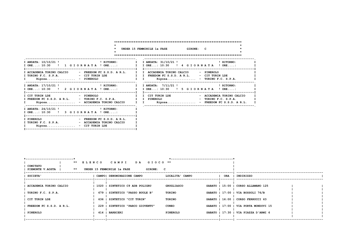|                                                                                                                                                    | UNDER 15 FEMMINILE 1a FASE 6IRONE: C                                                                                                                                                                                                                                                                                                                                                                                                                                                                                                                |
|----------------------------------------------------------------------------------------------------------------------------------------------------|-----------------------------------------------------------------------------------------------------------------------------------------------------------------------------------------------------------------------------------------------------------------------------------------------------------------------------------------------------------------------------------------------------------------------------------------------------------------------------------------------------------------------------------------------------|
|                                                                                                                                                    | I ANDATA: $10/10/21$ ! $\blacksquare$ $\blacksquare$ $\blacksquare$ $\blacksquare$ $\blacksquare$ $\blacksquare$ $\blacksquare$ $\blacksquare$ $\blacksquare$ $\blacksquare$ $\blacksquare$ $\blacksquare$ $\blacksquare$ $\blacksquare$ $\blacksquare$ $\blacksquare$ $\blacksquare$ $\blacksquare$ $\blacksquare$ $\blacksquare$ $\blacksquare$ $\blacksquare$ $\blacksquare$ $\blacksquare$ $\blacksquare$ $\blacksquare$ $\blacksquare$ $\blacksquare$ $\$<br>I ORE: 10:30 ! 1 G I O R N A T A ! ORE: I I ORE: 10:30 ! 4 G I O R N A T A ! ORE: |
| I ACCADEMIA TORINO CALCIO - FREEDOM FC S.S.D. A R.L. I I ACCADEMIA TORINO CALCIO - PINEROLO<br>$\mathbf{I}$ and $\mathbf{I}$<br>------------------ | Riposa - PINEROLO             I I   Riposa - TORINO F.C. S.P.A.                                                                                                                                                                                                                                                                                                                                                                                                                                                                                     |
|                                                                                                                                                    | I ANDATA: $17/10/21$ ! $\blacksquare$ PRITORNO: $\blacksquare$ I ANDATA: $7/11/21$ ! $\blacksquare$ PRITORNO: $\blacksquare$ PRITORNO:<br>I ORE: 10:30 ! 2 G I O R N A T A ! ORE: I I ORE: 10:30 ! 5 G I O R N A T A ! ORE:                                                                                                                                                                                                                                                                                                                         |
| I FREEDOM FC S.S.D. A R.L. - TORINO F.C. S.P.A. I I PINEROLO                                                                                       | $-$ TORINO F.C. S.P.A.<br>I Riposa - ACCADEMIA TORINO CALCIO I I Riposa - FREEDOM FC S.S.D. A R.L.                                                                                                                                                                                                                                                                                                                                                                                                                                                  |
| I ANDATA: 24/10/21 ! RITORNO:<br>I ORE: 10:30 ! 3 G I OR N A T A ! ORE:                                                                            |                                                                                                                                                                                                                                                                                                                                                                                                                                                                                                                                                     |
| I TORINO F.C. S.P.A.<br>- ACCADEMIA TORINO CALCIO<br>I Riposa - CIT TURIN LDE                                                                      |                                                                                                                                                                                                                                                                                                                                                                                                                                                                                                                                                     |

|                                              |                            |                                          | ------------------------ |     |                                       |  |
|----------------------------------------------|----------------------------|------------------------------------------|--------------------------|-----|---------------------------------------|--|
| <b>COMITATO</b><br>$***$<br>PIEMONTE V.AOSTA | UNDER 15 FEMMINILE 1a FASE | ** ELENCO CAMPI DA GIOCO **<br>GIRONE: C |                          |     |                                       |  |
| <b>SOCIETA'</b>                              | CAMPO  DENOMINAZIONE CAMPO |                                          | LOCALITA' CAMPO          | ORA | INDIRIZZO                             |  |
| ACCADEMIA TORINO CALCIO                      |                            | 1020   SINTETICO C9 ADB POLIGRU          | GRUGLIASCO               |     | SABATO   15:00   CORSO ALLAMANO 125   |  |
| TORINO F.C. S.P.A.                           |                            | 679   SINTETICO "PASSO BUOLE B"          | TORINO                   |     | SABATO $  17:00   17A BOSSOLI 76/B$   |  |
| CIT TURIN LDE                                |                            | 636   SINTETICO "CIT TURIN"              | TORINO                   |     | SABATO   16:00   CORSO FERRUCCI 63    |  |
| FREEDOM FC S.S.D. A R.L.                     |                            | 229   SINTETICO "PARCO GIOVENTU"         | CUNEO                    |     | SABATO   17:00   VIA PORTA MONDOVI 15 |  |
| <b>PINEROLO</b>                              | 414   BARBIERI             |                                          | <b>PINEROLO</b>          |     | SABATO   17:30   VIA PIAZZA D'ARMI 6  |  |